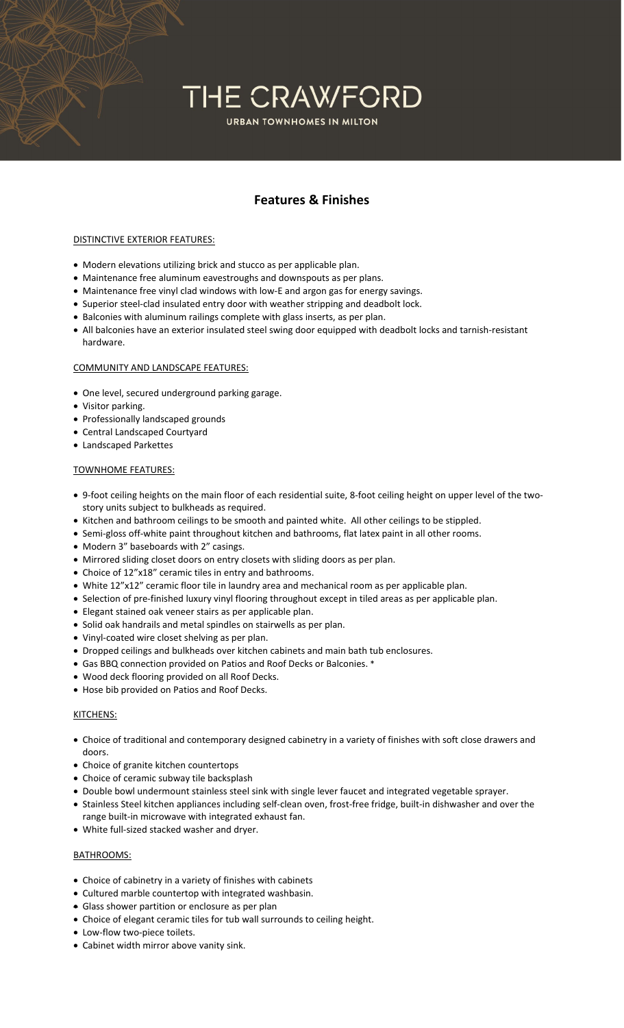## THE CRAWFORD **URBAN TOWNHOMES IN MILTON**

### **Features & Finishes**

#### DISTINCTIVE EXTERIOR FEATURES:

- Modern elevations utilizing brick and stucco as per applicable plan.
- Maintenance free aluminum eavestroughs and downspouts as per plans.
- Maintenance free vinyl clad windows with low-E and argon gas for energy savings.
- Superior steel‐clad insulated entry door with weather stripping and deadbolt lock.
- Balconies with aluminum railings complete with glass inserts, as per plan.
- All balconies have an exterior insulated steel swing door equipped with deadbolt locks and tarnish‐resistant hardware.

#### COMMUNITY AND LANDSCAPE FEATURES:

- One level, secured underground parking garage.
- Visitor parking.
- Professionally landscaped grounds
- Central Landscaped Courtyard
- Landscaped Parkettes

#### TOWNHOME FEATURES:

- 9‐foot ceiling heights on the main floor of each residential suite, 8‐foot ceiling height on upper level of the two‐ story units subject to bulkheads as required.
- Kitchen and bathroom ceilings to be smooth and painted white. All other ceilings to be stippled.
- Semi-gloss off-white paint throughout kitchen and bathrooms, flat latex paint in all other rooms.
- Modern 3" baseboards with 2" casings.
- Mirrored sliding closet doors on entry closets with sliding doors as per plan.
- Choice of 12"x18" ceramic tiles in entry and bathrooms.
- White 12"x12" ceramic floor tile in laundry area and mechanical room as per applicable plan.
- Selection of pre-finished luxury vinyl flooring throughout except in tiled areas as per applicable plan.
- Elegant stained oak veneer stairs as per applicable plan.
- Solid oak handrails and metal spindles on stairwells as per plan.
- Vinyl-coated wire closet shelving as per plan.
- Dropped ceilings and bulkheads over kitchen cabinets and main bath tub enclosures.
- Gas BBQ connection provided on Patios and Roof Decks or Balconies. \*
- Wood deck flooring provided on all Roof Decks.
- Hose bib provided on Patios and Roof Decks.

#### KITCHENS:

- Choice of traditional and contemporary designed cabinetry in a variety of finishes with soft close drawers and doors.
- Choice of granite kitchen countertops
- Choice of ceramic subway tile backsplash
- Double bowl undermount stainless steel sink with single lever faucet and integrated vegetable sprayer.
- Stainless Steel kitchen appliances including self‐clean oven, frost‐free fridge, built‐in dishwasher and over the range built‐in microwave with integrated exhaust fan.
- White full-sized stacked washer and dryer.

#### BATHROOMS:

- Choice of cabinetry in a variety of finishes with cabinets
- Cultured marble countertop with integrated washbasin.
- Glass shower partition or enclosure as per plan
- Choice of elegant ceramic tiles for tub wall surrounds to ceiling height.
- Low-flow two-piece toilets.
- Cabinet width mirror above vanity sink.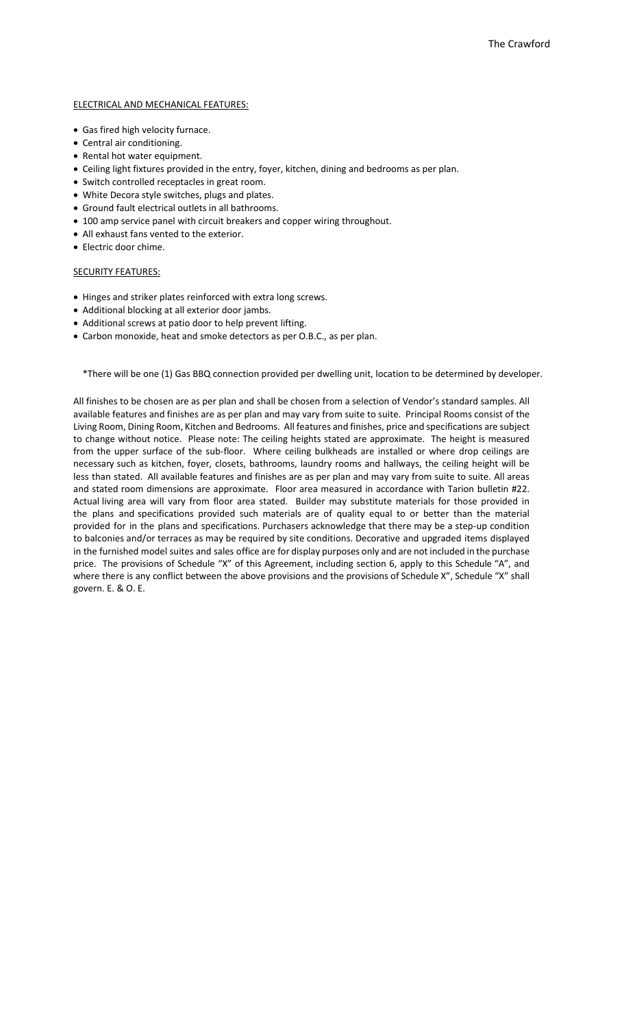#### ELECTRICAL AND MECHANICAL FEATURES:

- Gas fired high velocity furnace.
- Central air conditioning.
- Rental hot water equipment.
- Ceiling light fixtures provided in the entry, foyer, kitchen, dining and bedrooms as per plan.
- Switch controlled receptacles in great room.
- White Decora style switches, plugs and plates.
- Ground fault electrical outlets in all bathrooms.
- 100 amp service panel with circuit breakers and copper wiring throughout.
- All exhaust fans vented to the exterior.
- Electric door chime.

#### SECURITY FEATURES:

- Hinges and striker plates reinforced with extra long screws.
- Additional blocking at all exterior door jambs.
- Additional screws at patio door to help prevent lifting.
- Carbon monoxide, heat and smoke detectors as per O.B.C., as per plan.

\*There will be one (1) Gas BBQ connection provided per dwelling unit, location to be determined by developer.

All finishes to be chosen are as per plan and shall be chosen from a selection of Vendor's standard samples. All available features and finishes are as per plan and may vary from suite to suite. Principal Rooms consist of the Living Room, Dining Room, Kitchen and Bedrooms. All features and finishes, price and specifications are subject to change without notice. Please note: The ceiling heights stated are approximate. The height is measured from the upper surface of the sub-floor. Where ceiling bulkheads are installed or where drop ceilings are necessary such as kitchen, foyer, closets, bathrooms, laundry rooms and hallways, the ceiling height will be less than stated. All available features and finishes are as per plan and may vary from suite to suite. All areas and stated room dimensions are approximate. Floor area measured in accordance with Tarion bulletin #22. Actual living area will vary from floor area stated. Builder may substitute materials for those provided in the plans and specifications provided such materials are of quality equal to or better than the material provided for in the plans and specifications. Purchasers acknowledge that there may be a step‐up condition to balconies and/or terraces as may be required by site conditions. Decorative and upgraded items displayed in the furnished model suites and sales office are for display purposes only and are not included in the purchase price. The provisions of Schedule "X" of this Agreement, including section 6, apply to this Schedule "A", and where there is any conflict between the above provisions and the provisions of Schedule X", Schedule "X" shall govern. E. & O. E.